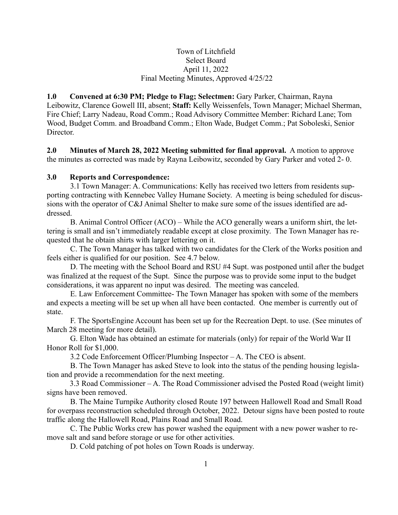## Town of Litchfield Select Board April 11, 2022 Final Meeting Minutes, Approved 4/25/22

**1.0 Convened at 6:30 PM; Pledge to Flag; Selectmen:** Gary Parker, Chairman, Rayna Leibowitz, Clarence Gowell III, absent; **Staff:** Kelly Weissenfels, Town Manager; Michael Sherman, Fire Chief; Larry Nadeau, Road Comm.; Road Advisory Committee Member: Richard Lane; Tom Wood, Budget Comm. and Broadband Comm.; Elton Wade, Budget Comm.; Pat Soboleski, Senior Director.

**2.0 Minutes of March 28, 2022 Meeting submitted for final approval.** A motion to approve the minutes as corrected was made by Rayna Leibowitz, seconded by Gary Parker and voted 2- 0.

## **3.0 Reports and Correspondence:**

3.1 Town Manager: A. Communications: Kelly has received two letters from residents supporting contracting with Kennebec Valley Humane Society. A meeting is being scheduled for discussions with the operator of C&J Animal Shelter to make sure some of the issues identified are addressed.

B. Animal Control Officer (ACO) – While the ACO generally wears a uniform shirt, the lettering is small and isn't immediately readable except at close proximity. The Town Manager has requested that he obtain shirts with larger lettering on it.

C. The Town Manager has talked with two candidates for the Clerk of the Works position and feels either is qualified for our position. See 4.7 below.

D. The meeting with the School Board and RSU #4 Supt. was postponed until after the budget was finalized at the request of the Supt. Since the purpose was to provide some input to the budget considerations, it was apparent no input was desired. The meeting was canceled.

E. Law Enforcement Committee- The Town Manager has spoken with some of the members and expects a meeting will be set up when all have been contacted. One member is currently out of state.

F. The SportsEngine Account has been set up for the Recreation Dept. to use. (See minutes of March 28 meeting for more detail).

G. Elton Wade has obtained an estimate for materials (only) for repair of the World War II Honor Roll for \$1,000.

3.2 Code Enforcement Officer/Plumbing Inspector – A. The CEO is absent.

B. The Town Manager has asked Steve to look into the status of the pending housing legislation and provide a recommendation for the next meeting.

3.3 Road Commissioner – A. The Road Commissioner advised the Posted Road (weight limit) signs have been removed.

B. The Maine Turnpike Authority closed Route 197 between Hallowell Road and Small Road for overpass reconstruction scheduled through October, 2022. Detour signs have been posted to route traffic along the Hallowell Road, Plains Road and Small Road.

C. The Public Works crew has power washed the equipment with a new power washer to remove salt and sand before storage or use for other activities.

D. Cold patching of pot holes on Town Roads is underway.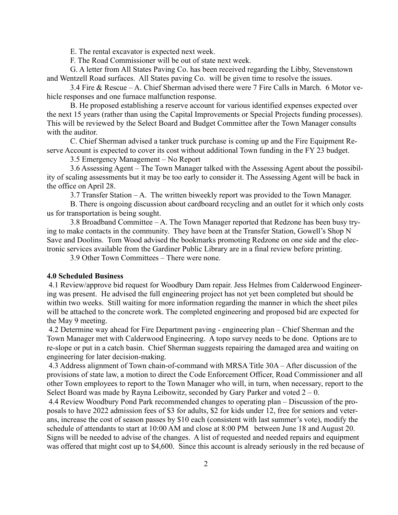E. The rental excavator is expected next week.

F. The Road Commissioner will be out of state next week.

G. A letter from All States Paving Co. has been received regarding the Libby, Stevenstown and Wentzell Road surfaces. All States paving Co. will be given time to resolve the issues.

3.4 Fire & Rescue – A. Chief Sherman advised there were 7 Fire Calls in March. 6 Motor vehicle responses and one furnace malfunction response.

B. He proposed establishing a reserve account for various identified expenses expected over the next 15 years (rather than using the Capital Improvements or Special Projects funding processes). This will be reviewed by the Select Board and Budget Committee after the Town Manager consults with the auditor.

C. Chief Sherman advised a tanker truck purchase is coming up and the Fire Equipment Reserve Account is expected to cover its cost without additional Town funding in the FY 23 budget.

3.5 Emergency Management – No Report

3.6 Assessing Agent – The Town Manager talked with the Assessing Agent about the possibility of scaling assessments but it may be too early to consider it. The Assessing Agent will be back in the office on April 28.

3.7 Transfer Station – A. The written biweekly report was provided to the Town Manager.

B. There is ongoing discussion about cardboard recycling and an outlet for it which only costs us for transportation is being sought.

3.8 Broadband Committee – A. The Town Manager reported that Redzone has been busy trying to make contacts in the community. They have been at the Transfer Station, Gowell's Shop N Save and Doolins. Tom Wood advised the bookmarks promoting Redzone on one side and the electronic services available from the Gardiner Public Library are in a final review before printing.

3.9 Other Town Committees – There were none.

#### **4.0 Scheduled Business**

4.1 Review/approve bid request for Woodbury Dam repair. Jess Helmes from Calderwood Engineering was present. He advised the full engineering project has not yet been completed but should be within two weeks. Still waiting for more information regarding the manner in which the sheet piles will be attached to the concrete work. The completed engineering and proposed bid are expected for the May 9 meeting.

4.2 Determine way ahead for Fire Department paving - engineering plan – Chief Sherman and the Town Manager met with Calderwood Engineering. A topo survey needs to be done. Options are to re-slope or put in a catch basin. Chief Sherman suggests repairing the damaged area and waiting on engineering for later decision-making.

4.3 Address alignment of Town chain-of-command with MRSA Title 30A – After discussion of the provisions of state law, a motion to direct the Code Enforcement Officer, Road Commissioner and all other Town employees to report to the Town Manager who will, in turn, when necessary, report to the Select Board was made by Rayna Leibowitz, seconded by Gary Parker and voted  $2 - 0$ .

4.4 Review Woodbury Pond Park recommended changes to operating plan – Discussion of the proposals to have 2022 admission fees of \$3 for adults, \$2 for kids under 12, free for seniors and veterans, increase the cost of season passes by \$10 each (consistent with last summer's vote), modify the schedule of attendants to start at 10:00 AM and close at 8:00 PM between June 18 and August 20. Signs will be needed to advise of the changes. A list of requested and needed repairs and equipment was offered that might cost up to \$4,600. Since this account is already seriously in the red because of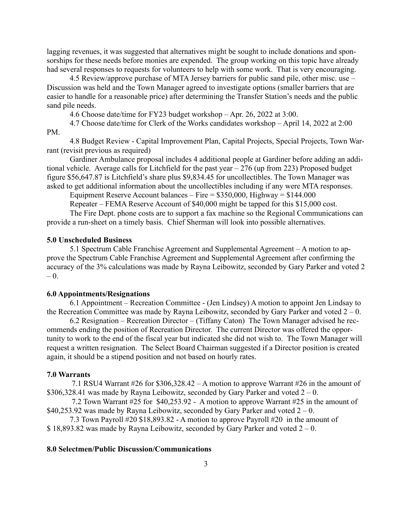lagging revenues, it was suggested that alternatives might be sought to include donations and sponsorships for these needs before monies are expended. The group working on this topic have already had several responses to requests for volunteers to help with some work. That is very encouraging.

4.5 Review/approve purchase of MTA Jersey barriers for public sand pile, other misc. use – Discussion was held and the Town Manager agreed to investigate options (smaller barriers that are easier to handle for a reasonable price) after determining the Transfer Station's needs and the public sand pile needs.

4.6 Choose date/time for FY23 budget workshop – Apr. 26, 2022 at 3:00.

4.7 Choose date/time for Clerk of the Works candidates workshop – April 14, 2022 at 2:00

PM.

4.8 Budget Review - Capital Improvement Plan, Capital Projects, Special Projects, Town Warrant (revisit previous as required)

Gardiner Ambulance proposal includes 4 additional people at Gardiner before adding an additional vehicle. Average calls for Litchfield for the past year – 276 (up from 223) Proposed budget figure \$56,647.87 is Litchfield's share plus \$9,834.45 for uncollectibles. The Town Manager was asked to get additional information about the uncollectibles including if any were MTA responses.

Equipment Reserve Account balances – Fire =  $$350,000$ , Highway =  $$144.000$ 

Repeater – FEMA Reserve Account of \$40,000 might be tapped for this \$15,000 cost.

The Fire Dept. phone costs are to support a fax machine so the Regional Communications can provide a run-sheet on a timely basis. Chief Sherman will look into possible alternatives.

### **5.0 Unscheduled Business**

5.1 Spectrum Cable Franchise Agreement and Supplemental Agreement – A motion to approve the Spectrum Cable Franchise Agreement and Supplemental Agreement after confirming the accuracy of the 3% calculations was made by Rayna Leibowitz, seconded by Gary Parker and voted 2  $-0.$ 

### **6.0 Appointments/Resignations**

6.1 Appointment – Recreation Committee - (Jen Lindsey) A motion to appoint Jen Lindsay to the Recreation Committee was made by Rayna Leibowitz, seconded by Gary Parker and voted  $2 - 0$ .

6.2 Resignation – Recreation Director – (Tiffany Caton) The Town Manager advised he recommends ending the position of Recreation Director. The current Director was offered the opportunity to work to the end of the fiscal year but indicated she did not wish to. The Town Manager will request a written resignation. The Select Board Chairman suggested if a Director position is created again, it should be a stipend position and not based on hourly rates.

#### **7.0 Warrants**

7.1 RSU4 Warrant #26 for \$306,328.42 – A motion to approve Warrant #26 in the amount of \$306,328.41 was made by Rayna Leibowitz, seconded by Gary Parker and voted  $2 - 0$ .

7.2 Town Warrant #25 for \$40,253.92 - A motion to approve Warrant #25 in the amount of \$40,253.92 was made by Rayna Leibowitz, seconded by Gary Parker and voted  $2 - 0$ .

7.3 Town Payroll #20 \$18,893.82 - A motion to approve Payroll #20 in the amount of  $$ 18,893.82$  was made by Rayna Leibowitz, seconded by Gary Parker and voted  $2 - 0$ .

#### **8.0 Selectmen/Public Discussion/Communications**